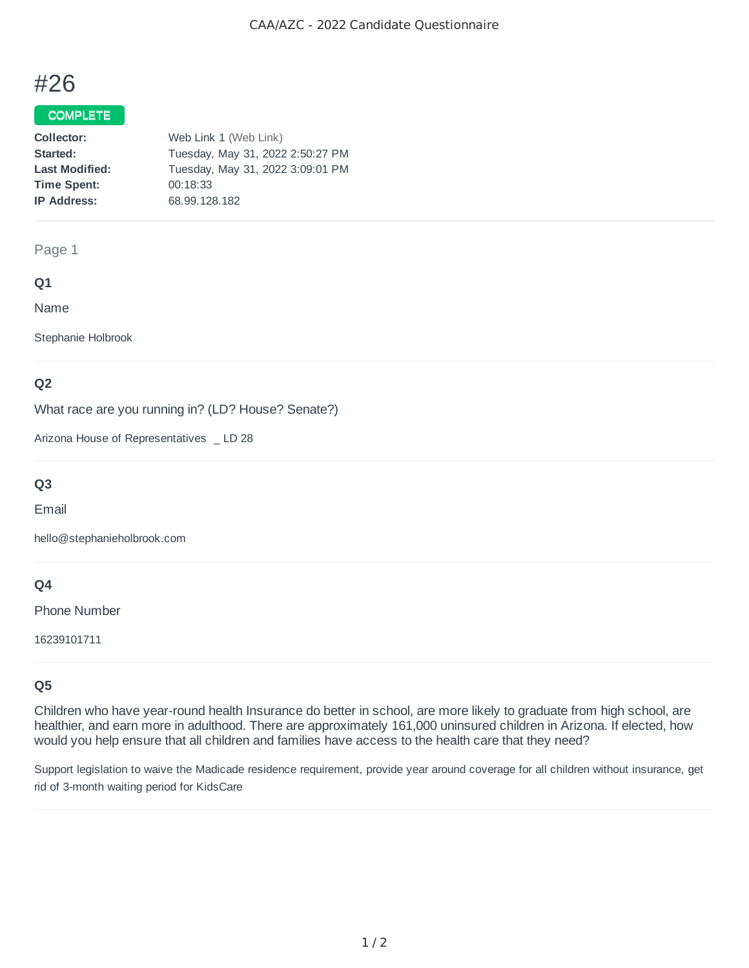# #26

## COMPLETE

| Collector:            | Web Link 1 (Web Link)            |
|-----------------------|----------------------------------|
| Started:              | Tuesday, May 31, 2022 2:50:27 PM |
| <b>Last Modified:</b> | Tuesday, May 31, 2022 3:09:01 PM |
| <b>Time Spent:</b>    | 00:18:33                         |
| <b>IP Address:</b>    | 68.99.128.182                    |

#### Page 1

### **Q1**

Name

Stephanie Holbrook

## **Q2**

What race are you running in? (LD? House? Senate?)

Arizona House of Representatives \_ LD 28

# **Q3**

Email

hello@stephanieholbrook.com

## **Q4**

Phone Number

16239101711

## **Q5**

Children who have year-round health Insurance do better in school, are more likely to graduate from high school, are healthier, and earn more in adulthood. There are approximately 161,000 uninsured children in Arizona. If elected, how would you help ensure that all children and families have access to the health care that they need?

Support legislation to waive the Madicade residence requirement, provide year around coverage for all children without insurance, get rid of 3-month waiting period for KidsCare